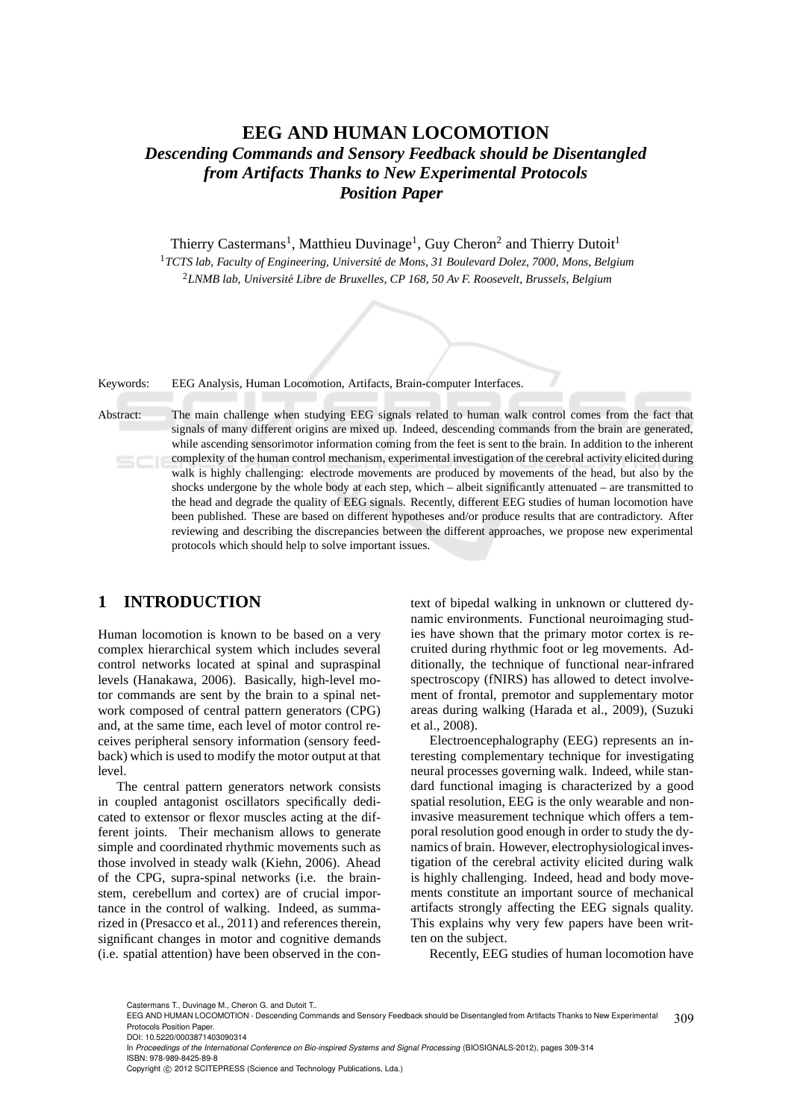# **EEG AND HUMAN LOCOMOTION** *Descending Commands and Sensory Feedback should be Disentangled from Artifacts Thanks to New Experimental Protocols Position Paper*

Thierry Castermans<sup>1</sup>, Matthieu Duvinage<sup>1</sup>, Guy Cheron<sup>2</sup> and Thierry Dutoit<sup>1</sup>

<sup>1</sup>*TCTS lab, Faculty of Engineering, Université de Mons, 31 Boulevard Dolez, 7000, Mons, Belgium* <sup>2</sup>*LNMB lab, Universit´e Libre de Bruxelles, CP 168, 50 Av F. Roosevelt, Brussels, Belgium*

Keywords: EEG Analysis, Human Locomotion, Artifacts, Brain-computer Interfaces.

Abstract: The main challenge when studying EEG signals related to human walk control comes from the fact that signals of many different origins are mixed up. Indeed, descending commands from the brain are generated, while ascending sensorimotor information coming from the feet is sent to the brain. In addition to the inherent complexity of the human control mechanism, experimental investigation of the cerebral activity elicited during walk is highly challenging: electrode movements are produced by movements of the head, but also by the shocks undergone by the whole body at each step, which – albeit significantly attenuated – are transmitted to the head and degrade the quality of EEG signals. Recently, different EEG studies of human locomotion have been published. These are based on different hypotheses and/or produce results that are contradictory. After reviewing and describing the discrepancies between the different approaches, we propose new experimental protocols which should help to solve important issues.

## **1 INTRODUCTION**

Human locomotion is known to be based on a very complex hierarchical system which includes several control networks located at spinal and supraspinal levels (Hanakawa, 2006). Basically, high-level motor commands are sent by the brain to a spinal network composed of central pattern generators (CPG) and, at the same time, each level of motor control receives peripheral sensory information (sensory feedback) which is used to modify the motor output at that level.

The central pattern generators network consists in coupled antagonist oscillators specifically dedicated to extensor or flexor muscles acting at the different joints. Their mechanism allows to generate simple and coordinated rhythmic movements such as those involved in steady walk (Kiehn, 2006). Ahead of the CPG, supra-spinal networks (i.e. the brainstem, cerebellum and cortex) are of crucial importance in the control of walking. Indeed, as summarized in (Presacco et al., 2011) and references therein, significant changes in motor and cognitive demands (i.e. spatial attention) have been observed in the con-

text of bipedal walking in unknown or cluttered dynamic environments. Functional neuroimaging studies have shown that the primary motor cortex is recruited during rhythmic foot or leg movements. Additionally, the technique of functional near-infrared spectroscopy (fNIRS) has allowed to detect involvement of frontal, premotor and supplementary motor areas during walking (Harada et al., 2009), (Suzuki et al., 2008).

Electroencephalography (EEG) represents an interesting complementary technique for investigating neural processes governing walk. Indeed, while standard functional imaging is characterized by a good spatial resolution, EEG is the only wearable and noninvasive measurement technique which offers a temporal resolution good enough in order to study the dynamics of brain. However, electrophysiological investigation of the cerebral activity elicited during walk is highly challenging. Indeed, head and body movements constitute an important source of mechanical artifacts strongly affecting the EEG signals quality. This explains why very few papers have been written on the subject.

Recently, EEG studies of human locomotion have

Castermans T., Duvinage M., Cheron G. and Dutoit T..

<sup>309</sup> EEG AND HUMAN LOCOMOTION - Descending Commands and Sensory Feedback should be Disentangled from Artifacts Thanks to New Experimental Protocols Position Paper. DOI: 10.5220/0003871403090314

In *Proceedings of the International Conference on Bio-inspired Systems and Signal Processing* (BIOSIGNALS-2012), pages 309-314 ISBN: 978-989-8425-89-8

Copyright © 2012 SCITEPRESS (Science and Technology Publications, Lda.)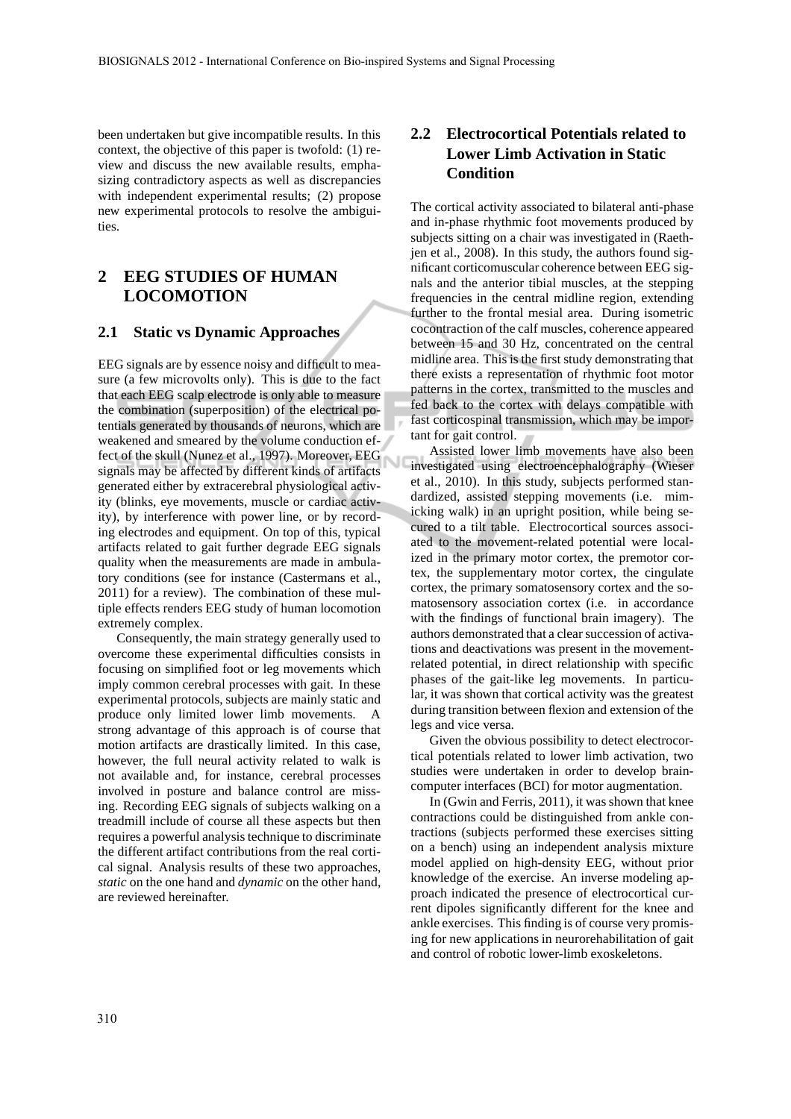been undertaken but give incompatible results. In this context, the objective of this paper is twofold: (1) review and discuss the new available results, emphasizing contradictory aspects as well as discrepancies with independent experimental results; (2) propose new experimental protocols to resolve the ambiguities.

## **2 EEG STUDIES OF HUMAN LOCOMOTION**

### **2.1 Static vs Dynamic Approaches**

EEG signals are by essence noisy and difficult to measure (a few microvolts only). This is due to the fact that each EEG scalp electrode is only able to measure the combination (superposition) of the electrical potentials generated by thousands of neurons, which are weakened and smeared by the volume conduction effect of the skull (Nunez et al., 1997). Moreover, EEG signals may be affected by different kinds of artifacts generated either by extracerebral physiological activity (blinks, eye movements, muscle or cardiac activity), by interference with power line, or by recording electrodes and equipment. On top of this, typical artifacts related to gait further degrade EEG signals quality when the measurements are made in ambulatory conditions (see for instance (Castermans et al., 2011) for a review). The combination of these multiple effects renders EEG study of human locomotion extremely complex.

Consequently, the main strategy generally used to overcome these experimental difficulties consists in focusing on simplified foot or leg movements which imply common cerebral processes with gait. In these experimental protocols, subjects are mainly static and produce only limited lower limb movements. A strong advantage of this approach is of course that motion artifacts are drastically limited. In this case, however, the full neural activity related to walk is not available and, for instance, cerebral processes involved in posture and balance control are missing. Recording EEG signals of subjects walking on a treadmill include of course all these aspects but then requires a powerful analysis technique to discriminate the different artifact contributions from the real cortical signal. Analysis results of these two approaches, *static* on the one hand and *dynamic* on the other hand, are reviewed hereinafter.

### **2.2 Electrocortical Potentials related to Lower Limb Activation in Static Condition**

The cortical activity associated to bilateral anti-phase and in-phase rhythmic foot movements produced by subjects sitting on a chair was investigated in (Raethjen et al., 2008). In this study, the authors found significant corticomuscular coherence between EEG signals and the anterior tibial muscles, at the stepping frequencies in the central midline region, extending further to the frontal mesial area. During isometric cocontraction of the calf muscles, coherence appeared between 15 and 30 Hz, concentrated on the central midline area. This is the first study demonstrating that there exists a representation of rhythmic foot motor patterns in the cortex, transmitted to the muscles and fed back to the cortex with delays compatible with fast corticospinal transmission, which may be important for gait control.

Assisted lower limb movements have also been investigated using electroencephalography (Wieser et al., 2010). In this study, subjects performed standardized, assisted stepping movements (i.e. mimicking walk) in an upright position, while being secured to a tilt table. Electrocortical sources associated to the movement-related potential were localized in the primary motor cortex, the premotor cortex, the supplementary motor cortex, the cingulate cortex, the primary somatosensory cortex and the somatosensory association cortex (i.e. in accordance with the findings of functional brain imagery). The authors demonstrated that a clear succession of activations and deactivations was present in the movementrelated potential, in direct relationship with specific phases of the gait-like leg movements. In particular, it was shown that cortical activity was the greatest during transition between flexion and extension of the legs and vice versa.

Given the obvious possibility to detect electrocortical potentials related to lower limb activation, two studies were undertaken in order to develop braincomputer interfaces (BCI) for motor augmentation.

In (Gwin and Ferris, 2011), it was shown that knee contractions could be distinguished from ankle contractions (subjects performed these exercises sitting on a bench) using an independent analysis mixture model applied on high-density EEG, without prior knowledge of the exercise. An inverse modeling approach indicated the presence of electrocortical current dipoles significantly different for the knee and ankle exercises. This finding is of course very promising for new applications in neurorehabilitation of gait and control of robotic lower-limb exoskeletons.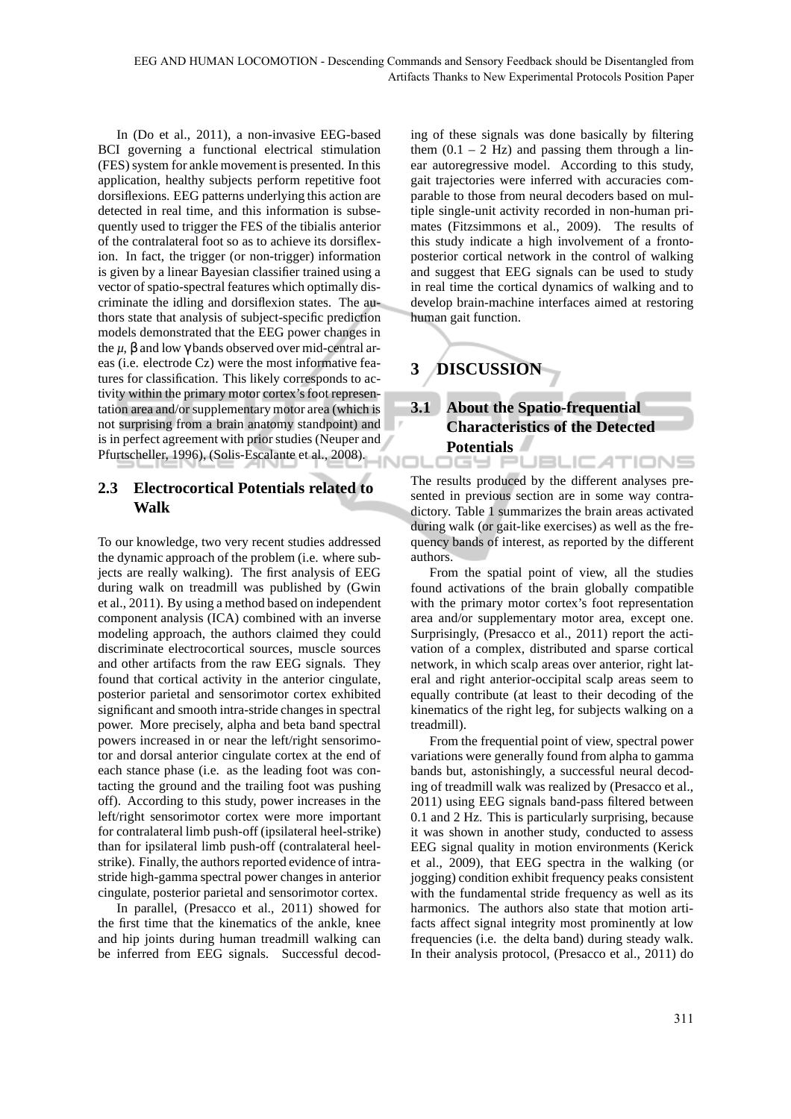In (Do et al., 2011), a non-invasive EEG-based BCI governing a functional electrical stimulation (FES) system for ankle movement is presented. In this application, healthy subjects perform repetitive foot dorsiflexions. EEG patterns underlying this action are detected in real time, and this information is subsequently used to trigger the FES of the tibialis anterior of the contralateral foot so as to achieve its dorsiflexion. In fact, the trigger (or non-trigger) information is given by a linear Bayesian classifier trained using a vector of spatio-spectral features which optimally discriminate the idling and dorsiflexion states. The authors state that analysis of subject-specific prediction models demonstrated that the EEG power changes in the  $\mu$ ,  $\beta$  and low  $\gamma$  bands observed over mid-central areas (i.e. electrode Cz) were the most informative features for classification. This likely corresponds to activity within the primary motor cortex's foot representation area and/or supplementary motor area (which is not surprising from a brain anatomy standpoint) and is in perfect agreement with prior studies (Neuper and Pfurtscheller, 1996), (Solis-Escalante et al., 2008).

## **2.3 Electrocortical Potentials related to Walk**

To our knowledge, two very recent studies addressed the dynamic approach of the problem (i.e. where subjects are really walking). The first analysis of EEG during walk on treadmill was published by (Gwin et al., 2011). By using a method based on independent component analysis (ICA) combined with an inverse modeling approach, the authors claimed they could discriminate electrocortical sources, muscle sources and other artifacts from the raw EEG signals. They found that cortical activity in the anterior cingulate, posterior parietal and sensorimotor cortex exhibited significant and smooth intra-stride changes in spectral power. More precisely, alpha and beta band spectral powers increased in or near the left/right sensorimotor and dorsal anterior cingulate cortex at the end of each stance phase (i.e. as the leading foot was contacting the ground and the trailing foot was pushing off). According to this study, power increases in the left/right sensorimotor cortex were more important for contralateral limb push-off (ipsilateral heel-strike) than for ipsilateral limb push-off (contralateral heelstrike). Finally, the authors reported evidence of intrastride high-gamma spectral power changes in anterior cingulate, posterior parietal and sensorimotor cortex.

In parallel, (Presacco et al., 2011) showed for the first time that the kinematics of the ankle, knee and hip joints during human treadmill walking can be inferred from EEG signals. Successful decoding of these signals was done basically by filtering them  $(0.1 - 2$  Hz) and passing them through a linear autoregressive model. According to this study, gait trajectories were inferred with accuracies comparable to those from neural decoders based on multiple single-unit activity recorded in non-human primates (Fitzsimmons et al., 2009). The results of this study indicate a high involvement of a frontoposterior cortical network in the control of walking and suggest that EEG signals can be used to study in real time the cortical dynamics of walking and to develop brain-machine interfaces aimed at restoring human gait function.

# **3 DISCUSSION**

### **3.1 About the Spatio-frequential Characteristics of the Detected Potentials JBLICATIONS**

The results produced by the different analyses presented in previous section are in some way contradictory. Table 1 summarizes the brain areas activated during walk (or gait-like exercises) as well as the frequency bands of interest, as reported by the different authors.

From the spatial point of view, all the studies found activations of the brain globally compatible with the primary motor cortex's foot representation area and/or supplementary motor area, except one. Surprisingly, (Presacco et al., 2011) report the activation of a complex, distributed and sparse cortical network, in which scalp areas over anterior, right lateral and right anterior-occipital scalp areas seem to equally contribute (at least to their decoding of the kinematics of the right leg, for subjects walking on a treadmill).

From the frequential point of view, spectral power variations were generally found from alpha to gamma bands but, astonishingly, a successful neural decoding of treadmill walk was realized by (Presacco et al., 2011) using EEG signals band-pass filtered between 0.1 and 2 Hz. This is particularly surprising, because it was shown in another study, conducted to assess EEG signal quality in motion environments (Kerick et al., 2009), that EEG spectra in the walking (or jogging) condition exhibit frequency peaks consistent with the fundamental stride frequency as well as its harmonics. The authors also state that motion artifacts affect signal integrity most prominently at low frequencies (i.e. the delta band) during steady walk. In their analysis protocol, (Presacco et al., 2011) do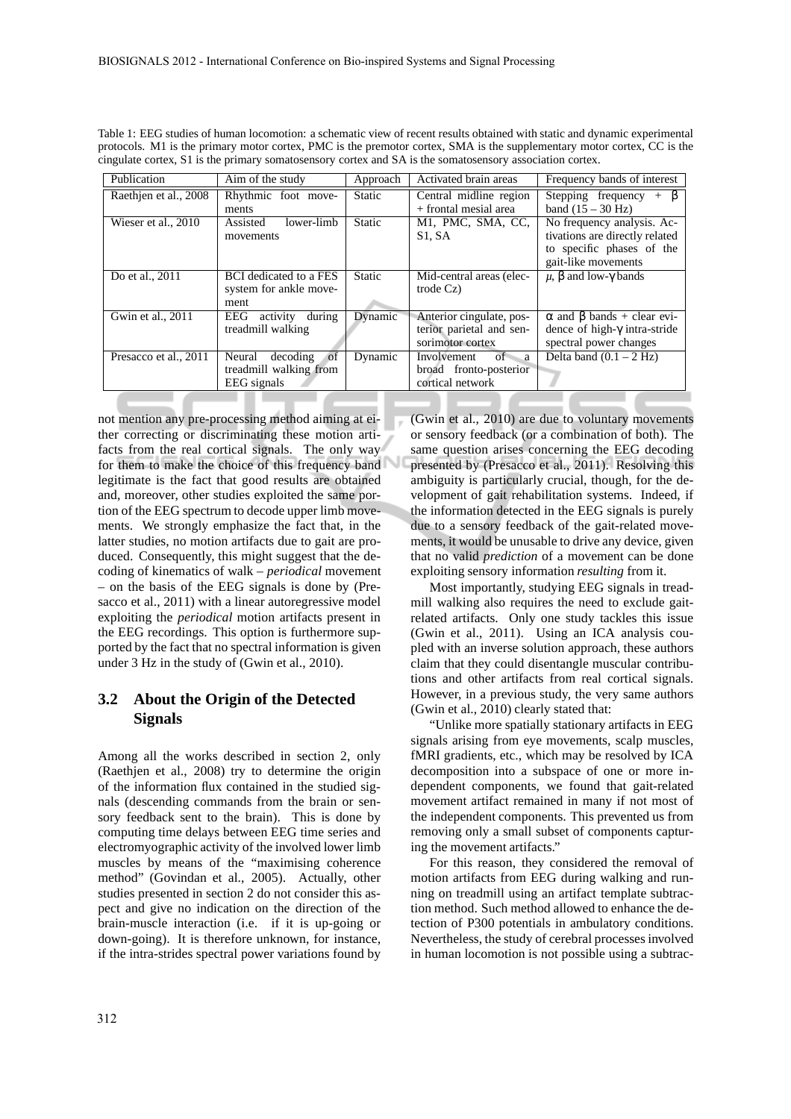| Table 1: EEG studies of human locomotion: a schematic view of recent results obtained with static and dynamic experimental |
|----------------------------------------------------------------------------------------------------------------------------|
| protocols. M1 is the primary motor cortex, PMC is the premotor cortex, SMA is the supplementary motor cortex, CC is the    |
| cingulate cortex, S1 is the primary somatosensory cortex and SA is the somatosensory association cortex.                   |

| Publication                        | Aim of the study              | Approach      | Activated brain areas                      | Frequency bands of interest             |
|------------------------------------|-------------------------------|---------------|--------------------------------------------|-----------------------------------------|
| Raethjen et al., $\overline{2008}$ | Rhythmic foot move-           | Static        | Central midline region                     | Stepping frequency<br>B<br>$+$          |
|                                    | ments                         |               | + frontal mesial area                      | band $(15 - 30 \text{ Hz})$             |
| Wieser et al., 2010                | lower-limb<br>Assisted        | <b>Static</b> | M1, PMC, SMA, CC,                          | No frequency analysis. Ac-              |
|                                    | movements                     |               | S <sub>1</sub> , S <sub>A</sub>            | tivations are directly related          |
|                                    |                               |               |                                            | to specific phases of the               |
|                                    |                               |               |                                            | gait-like movements                     |
| Do et al., 2011                    | <b>BCI</b> dedicated to a FES | <b>Static</b> | Mid-central areas (elec-                   | $\mu$ , $\beta$ and low- $\gamma$ bands |
|                                    | system for ankle move-        |               | $\text{trade } Cz$                         |                                         |
|                                    | ment                          |               |                                            |                                         |
| Gwin et al., 2011                  | during<br>activity<br>EEG     | Dynamic       | Anterior cingulate, pos-                   | $\alpha$ and $\beta$ bands + clear evi- |
|                                    | treadmill walking             |               | terior parietal and sen-                   | dence of high- $\gamma$ intra-stride    |
|                                    |                               |               | sorimotor cortex                           | spectral power changes                  |
| Presacco et al., 2011              | of<br>decoding<br>Neural      | Dynamic       | $\overline{\text{of}}$<br>Involvement<br>a | Delta band $(0.1 - 2 Hz)$               |
|                                    | treadmill walking from        |               | broad fronto-posterior                     |                                         |
|                                    | <b>EEG</b> signals            |               | cortical network                           |                                         |

not mention any pre-processing method aiming at either correcting or discriminating these motion artifacts from the real cortical signals. The only way for them to make the choice of this frequency band legitimate is the fact that good results are obtained and, moreover, other studies exploited the same portion of the EEG spectrum to decode upper limb movements. We strongly emphasize the fact that, in the latter studies, no motion artifacts due to gait are produced. Consequently, this might suggest that the decoding of kinematics of walk – *periodical* movement – on the basis of the EEG signals is done by (Presacco et al., 2011) with a linear autoregressive model exploiting the *periodical* motion artifacts present in the EEG recordings. This option is furthermore supported by the fact that no spectral information is given under 3 Hz in the study of (Gwin et al., 2010).

### **3.2 About the Origin of the Detected Signals**

Among all the works described in section 2, only (Raethjen et al., 2008) try to determine the origin of the information flux contained in the studied signals (descending commands from the brain or sensory feedback sent to the brain). This is done by computing time delays between EEG time series and electromyographic activity of the involved lower limb muscles by means of the "maximising coherence method" (Govindan et al., 2005). Actually, other studies presented in section 2 do not consider this aspect and give no indication on the direction of the brain-muscle interaction (i.e. if it is up-going or down-going). It is therefore unknown, for instance, if the intra-strides spectral power variations found by

(Gwin et al., 2010) are due to voluntary movements or sensory feedback (or a combination of both). The same question arises concerning the EEG decoding presented by (Presacco et al., 2011). Resolving this ambiguity is particularly crucial, though, for the development of gait rehabilitation systems. Indeed, if the information detected in the EEG signals is purely due to a sensory feedback of the gait-related movements, it would be unusable to drive any device, given that no valid *prediction* of a movement can be done exploiting sensory information *resulting* from it.

Most importantly, studying EEG signals in treadmill walking also requires the need to exclude gaitrelated artifacts. Only one study tackles this issue (Gwin et al., 2011). Using an ICA analysis coupled with an inverse solution approach, these authors claim that they could disentangle muscular contributions and other artifacts from real cortical signals. However, in a previous study, the very same authors (Gwin et al., 2010) clearly stated that:

"Unlike more spatially stationary artifacts in EEG signals arising from eye movements, scalp muscles, fMRI gradients, etc., which may be resolved by ICA decomposition into a subspace of one or more independent components, we found that gait-related movement artifact remained in many if not most of the independent components. This prevented us from removing only a small subset of components capturing the movement artifacts."

For this reason, they considered the removal of motion artifacts from EEG during walking and running on treadmill using an artifact template subtraction method. Such method allowed to enhance the detection of P300 potentials in ambulatory conditions. Nevertheless, the study of cerebral processes involved in human locomotion is not possible using a subtrac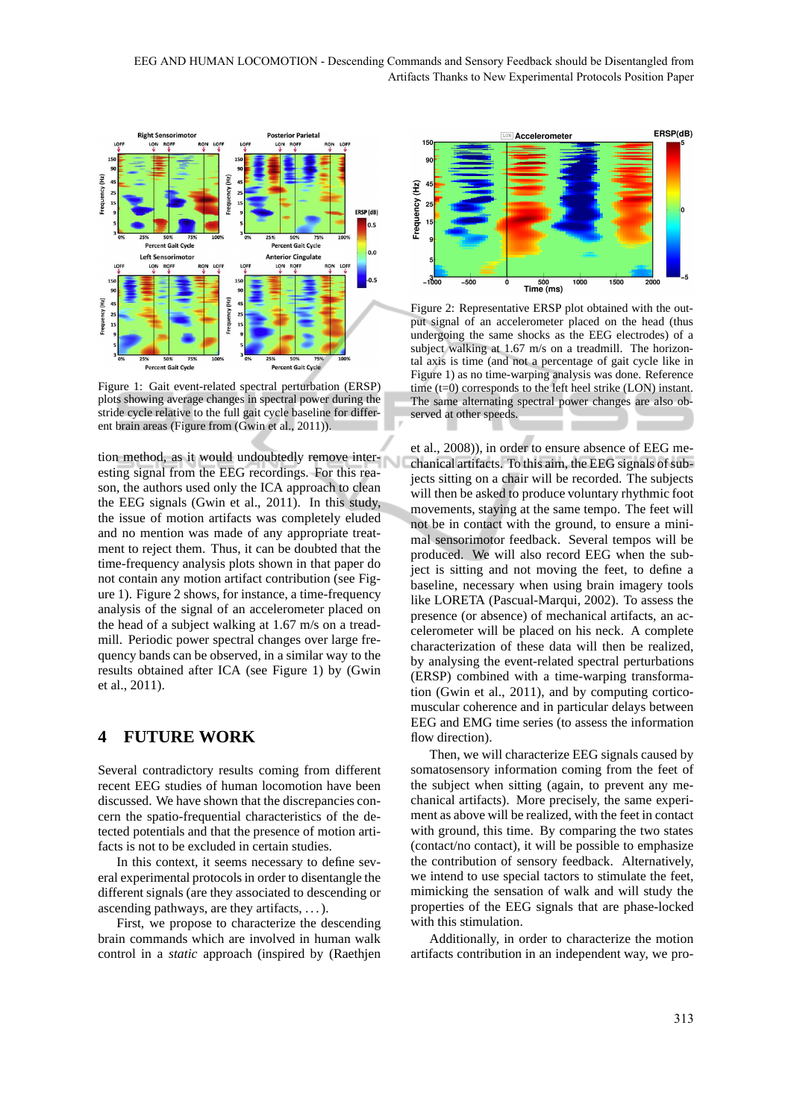EEG AND HUMAN LOCOMOTION - Descending Commands and Sensory Feedback should be Disentangled from Artifacts Thanks to New Experimental Protocols Position Paper



Figure 1: Gait event-related spectral perturbation (ERSP) plots showing average changes in spectral power during the stride cycle relative to the full gait cycle baseline for different brain areas (Figure from (Gwin et al., 2011)).

tion method, as it would undoubtedly remove interesting signal from the EEG recordings. For this reason, the authors used only the ICA approach to clean the EEG signals (Gwin et al., 2011). In this study, the issue of motion artifacts was completely eluded and no mention was made of any appropriate treatment to reject them. Thus, it can be doubted that the time-frequency analysis plots shown in that paper do not contain any motion artifact contribution (see Figure 1). Figure 2 shows, for instance, a time-frequency analysis of the signal of an accelerometer placed on the head of a subject walking at 1.67 m/s on a treadmill. Periodic power spectral changes over large frequency bands can be observed, in a similar way to the results obtained after ICA (see Figure 1) by (Gwin et al., 2011).

## **4 FUTURE WORK**

Several contradictory results coming from different recent EEG studies of human locomotion have been discussed. We have shown that the discrepancies concern the spatio-frequential characteristics of the detected potentials and that the presence of motion artifacts is not to be excluded in certain studies.

In this context, it seems necessary to define several experimental protocols in order to disentangle the different signals (are they associated to descending or ascending pathways, are they artifacts, . . . ).

First, we propose to characterize the descending brain commands which are involved in human walk control in a *static* approach (inspired by (Raethjen



Figure 2: Representative ERSP plot obtained with the output signal of an accelerometer placed on the head (thus undergoing the same shocks as the EEG electrodes) of a subject walking at 1.67 m/s on a treadmill. The horizontal axis is time (and not a percentage of gait cycle like in Figure 1) as no time-warping analysis was done. Reference time (t=0) corresponds to the left heel strike (LON) instant. The same alternating spectral power changes are also observed at other speeds.

et al., 2008)), in order to ensure absence of EEG mechanical artifacts. To this aim, the EEG signals of subjects sitting on a chair will be recorded. The subjects will then be asked to produce voluntary rhythmic foot movements, staying at the same tempo. The feet will not be in contact with the ground, to ensure a minimal sensorimotor feedback. Several tempos will be produced. We will also record EEG when the subject is sitting and not moving the feet, to define a baseline, necessary when using brain imagery tools like LORETA (Pascual-Marqui, 2002). To assess the presence (or absence) of mechanical artifacts, an accelerometer will be placed on his neck. A complete characterization of these data will then be realized, by analysing the event-related spectral perturbations (ERSP) combined with a time-warping transformation (Gwin et al., 2011), and by computing corticomuscular coherence and in particular delays between EEG and EMG time series (to assess the information flow direction).

Then, we will characterize EEG signals caused by somatosensory information coming from the feet of the subject when sitting (again, to prevent any mechanical artifacts). More precisely, the same experiment as above will be realized, with the feet in contact with ground, this time. By comparing the two states (contact/no contact), it will be possible to emphasize the contribution of sensory feedback. Alternatively, we intend to use special tactors to stimulate the feet, mimicking the sensation of walk and will study the properties of the EEG signals that are phase-locked with this stimulation.

Additionally, in order to characterize the motion artifacts contribution in an independent way, we pro